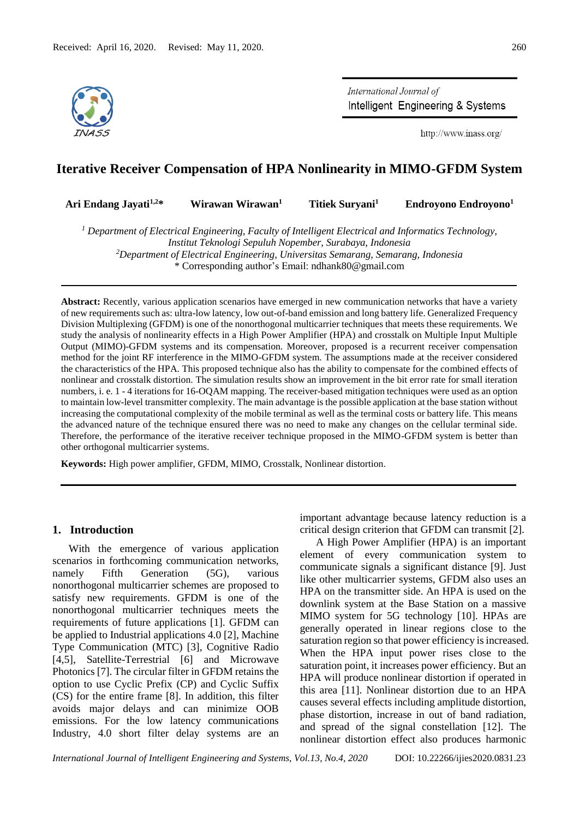

International Journal of Intelligent Engineering & Systems

http://www.inass.org/

# **Iterative Receiver Compensation of HPA Nonlinearity in MIMO-GFDM System**

|  | Ari Endang Jayati <sup>1,2</sup> * | Wirawan Wirawan <sup>1</sup> | Titiek Suryani <sup>1</sup> | Endroyono Endroyono <sup>1</sup> |
|--|------------------------------------|------------------------------|-----------------------------|----------------------------------|
|--|------------------------------------|------------------------------|-----------------------------|----------------------------------|

*<sup>1</sup> Department of Electrical Engineering, Faculty of Intelligent Electrical and Informatics Technology, Institut Teknologi Sepuluh Nopember, Surabaya, Indonesia <sup>2</sup>Department of Electrical Engineering, Universitas Semarang, Semarang, Indonesia*

\* Corresponding author's Email: ndhank80@gmail.com

**Abstract:** Recently, various application scenarios have emerged in new communication networks that have a variety of new requirements such as: ultra-low latency, low out-of-band emission and long battery life. Generalized Frequency Division Multiplexing (GFDM) is one of the nonorthogonal multicarrier techniques that meets these requirements. We study the analysis of nonlinearity effects in a High Power Amplifier (HPA) and crosstalk on Multiple Input Multiple Output (MIMO)-GFDM systems and its compensation. Moreover, proposed is a recurrent receiver compensation method for the joint RF interference in the MIMO-GFDM system. The assumptions made at the receiver considered the characteristics of the HPA. This proposed technique also has the ability to compensate for the combined effects of nonlinear and crosstalk distortion. The simulation results show an improvement in the bit error rate for small iteration numbers, i. e. 1 - 4 iterations for 16-OQAM mapping. The receiver-based mitigation techniques were used as an option to maintain low-level transmitter complexity. The main advantage is the possible application at the base station without increasing the computational complexity of the mobile terminal as well as the terminal costs or battery life. This means the advanced nature of the technique ensured there was no need to make any changes on the cellular terminal side. Therefore, the performance of the iterative receiver technique proposed in the MIMO-GFDM system is better than other orthogonal multicarrier systems.

**Keywords:** High power amplifier, GFDM, MIMO, Crosstalk, Nonlinear distortion.

# **1. Introduction**

With the emergence of various application scenarios in forthcoming communication networks, namely Fifth Generation (5G), various nonorthogonal multicarrier schemes are proposed to satisfy new requirements. GFDM is one of the nonorthogonal multicarrier techniques meets the requirements of future applications [1]. GFDM can be applied to Industrial applications 4.0 [2], Machine Type Communication (MTC) [3], Cognitive Radio [4,5], Satellite-Terrestrial [6] and Microwave Photonics [7]. The circular filter in GFDM retains the option to use Cyclic Prefix (CP) and Cyclic Suffix (CS) for the entire frame [8]. In addition, this filter avoids major delays and can minimize OOB emissions. For the low latency communications Industry, 4.0 short filter delay systems are an important advantage because latency reduction is a critical design criterion that GFDM can transmit [2].

A High Power Amplifier (HPA) is an important element of every communication system to communicate signals a significant distance [9]. Just like other multicarrier systems, GFDM also uses an HPA on the transmitter side. An HPA is used on the downlink system at the Base Station on a massive MIMO system for 5G technology [10]. HPAs are generally operated in linear regions close to the saturation region so that power efficiency is increased. When the HPA input power rises close to the saturation point, it increases power efficiency. But an HPA will produce nonlinear distortion if operated in this area [11]. Nonlinear distortion due to an HPA causes several effects including amplitude distortion, phase distortion, increase in out of band radiation, and spread of the signal constellation [12]. The nonlinear distortion effect also produces harmonic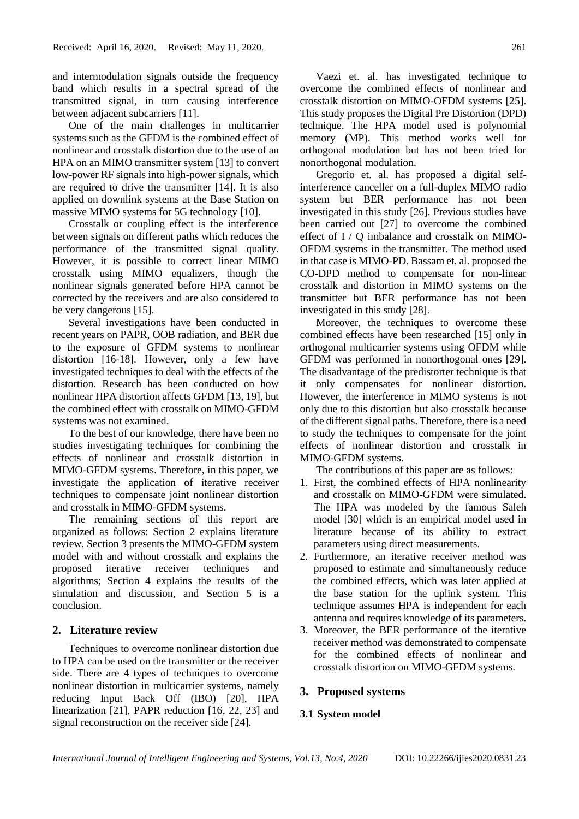and intermodulation signals outside the frequency band which results in a spectral spread of the transmitted signal, in turn causing interference between adjacent subcarriers [11].

One of the main challenges in multicarrier systems such as the GFDM is the combined effect of nonlinear and crosstalk distortion due to the use of an HPA on an MIMO transmitter system [13] to convert low-power RF signals into high-power signals, which are required to drive the transmitter [14]. It is also applied on downlink systems at the Base Station on massive MIMO systems for 5G technology [10].

Crosstalk or coupling effect is the interference between signals on different paths which reduces the performance of the transmitted signal quality. However, it is possible to correct linear MIMO crosstalk using MIMO equalizers, though the nonlinear signals generated before HPA cannot be corrected by the receivers and are also considered to be very dangerous [15].

Several investigations have been conducted in recent years on PAPR, OOB radiation, and BER due to the exposure of GFDM systems to nonlinear distortion [16-18]. However, only a few have investigated techniques to deal with the effects of the distortion. Research has been conducted on how nonlinear HPA distortion affects GFDM [13, 19], but the combined effect with crosstalk on MIMO-GFDM systems was not examined.

To the best of our knowledge, there have been no studies investigating techniques for combining the effects of nonlinear and crosstalk distortion in MIMO-GFDM systems. Therefore, in this paper, we investigate the application of iterative receiver techniques to compensate joint nonlinear distortion and crosstalk in MIMO-GFDM systems.

The remaining sections of this report are organized as follows: Section 2 explains literature review. Section 3 presents the MIMO-GFDM system model with and without crosstalk and explains the proposed iterative receiver techniques and algorithms; Section 4 explains the results of the simulation and discussion, and Section 5 is a conclusion.

# **2. Literature review**

Techniques to overcome nonlinear distortion due to HPA can be used on the transmitter or the receiver side. There are 4 types of techniques to overcome nonlinear distortion in multicarrier systems, namely reducing Input Back Off (IBO) [20], HPA linearization [21], PAPR reduction [16, 22, 23] and signal reconstruction on the receiver side [24].

Vaezi et. al. has investigated technique to overcome the combined effects of nonlinear and crosstalk distortion on MIMO-OFDM systems [25]. This study proposes the Digital Pre Distortion (DPD) technique. The HPA model used is polynomial memory (MP). This method works well for orthogonal modulation but has not been tried for nonorthogonal modulation.

Gregorio et. al. has proposed a digital selfinterference canceller on a full-duplex MIMO radio system but BER performance has not been investigated in this study [26]. Previous studies have been carried out [27] to overcome the combined effect of I / Q imbalance and crosstalk on MIMO-OFDM systems in the transmitter. The method used in that case is MIMO-PD. Bassam et. al. proposed the CO-DPD method to compensate for non-linear crosstalk and distortion in MIMO systems on the transmitter but BER performance has not been investigated in this study [28].

Moreover, the techniques to overcome these combined effects have been researched [15] only in orthogonal multicarrier systems using OFDM while GFDM was performed in nonorthogonal ones [29]. The disadvantage of the predistorter technique is that it only compensates for nonlinear distortion. However, the interference in MIMO systems is not only due to this distortion but also crosstalk because of the different signal paths. Therefore, there is a need to study the techniques to compensate for the joint effects of nonlinear distortion and crosstalk in MIMO-GFDM systems.

The contributions of this paper are as follows:

- 1. First, the combined effects of HPA nonlinearity and crosstalk on MIMO-GFDM were simulated. The HPA was modeled by the famous Saleh model [30] which is an empirical model used in literature because of its ability to extract parameters using direct measurements.
- 2. Furthermore, an iterative receiver method was proposed to estimate and simultaneously reduce the combined effects, which was later applied at the base station for the uplink system. This technique assumes HPA is independent for each antenna and requires knowledge of its parameters.
- 3. Moreover, the BER performance of the iterative receiver method was demonstrated to compensate for the combined effects of nonlinear and crosstalk distortion on MIMO-GFDM systems.

## **3. Proposed systems**

## **3.1 System model**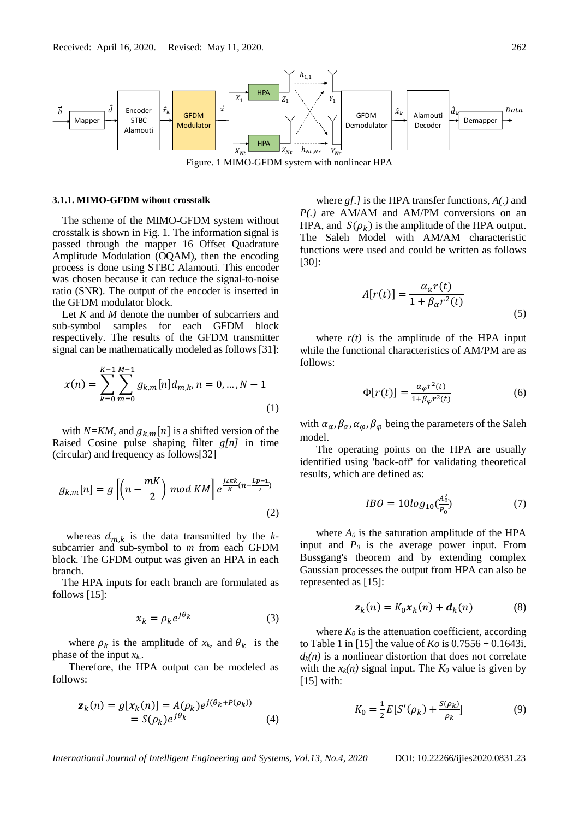

Figure. 1 MIMO-GFDM system with nonlinear HPA

## **3.1.1. MIMO-GFDM wihout crosstalk**

The scheme of the MIMO-GFDM system without crosstalk is shown in Fig. 1. The information signal is passed through the mapper 16 Offset Quadrature Amplitude Modulation (OQAM), then the encoding process is done using STBC Alamouti. This encoder was chosen because it can reduce the signal-to-noise ratio (SNR). The output of the encoder is inserted in the GFDM modulator block.

Let *K* and *M* denote the number of subcarriers and sub-symbol samples for each GFDM block respectively. The results of the GFDM transmitter signal can be mathematically modeled as follows [31]:

$$
x(n) = \sum_{k=0}^{K-1} \sum_{m=0}^{M-1} g_{k,m}[n] d_{m,k}, n = 0, ..., N-1
$$
\n(1)

with *N=KM*, and  $g_{k,m}[n]$  is a shifted version of the Raised Cosine pulse shaping filter *g[n]* in time (circular) and frequency as follows[32]

$$
g_{k,m}[n] = g\left[\left(n - \frac{mK}{2}\right) \mod KM\right] e^{\frac{j2\pi k}{K}\left(n - \frac{Lp - 1}{2}\right)}
$$
\n(2)

whereas  $d_{m,k}$  is the data transmitted by the *k*subcarrier and sub-symbol to *m* from each GFDM block. The GFDM output was given an HPA in each branch.

The HPA inputs for each branch are formulated as follows [15]:

$$
x_k = \rho_k e^{j\theta_k} \tag{3}
$$

where  $\rho_k$  is the amplitude of  $x_k$ , and  $\theta_k$  is the phase of the input *xk.*.

Therefore, the HPA output can be modeled as follows:

$$
\mathbf{z}_k(n) = g[\mathbf{x}_k(n)] = A(\rho_k)e^{j(\theta_k + P(\rho_k))}
$$
  
=  $S(\rho_k)e^{j\theta_k}$  (4)

where *g[.]* is the HPA transfer functions, *A(.)* and *P(.)* are AM/AM and AM/PM conversions on an HPA, and  $S(\rho_k)$  is the amplitude of the HPA output. The Saleh Model with AM/AM characteristic functions were used and could be written as follows [30]:

$$
A[r(t)] = \frac{\alpha_{\alpha}r(t)}{1 + \beta_{\alpha}r^2(t)}
$$
\n(5)

where  $r(t)$  is the amplitude of the HPA input while the functional characteristics of AM/PM are as follows:

$$
\Phi[r(t)] = \frac{\alpha_{\varphi}r^2(t)}{1 + \beta_{\varphi}r^2(t)}\tag{6}
$$

with  $\alpha_{\alpha}$ ,  $\beta_{\alpha}$ ,  $\alpha_{\varphi}$ ,  $\beta_{\varphi}$  being the parameters of the Saleh model.

The operating points on the HPA are usually identified using 'back-off' for validating theoretical results, which are defined as:

$$
IBO = 10log_{10}(\frac{A_0^2}{P_0})
$$
 (7)

where  $A_0$  is the saturation amplitude of the HPA input and *P<sup>0</sup>* is the average power input. From Bussgang's theorem and by extending complex Gaussian processes the output from HPA can also be represented as [15]:

$$
\mathbf{z}_k(n) = K_0 \mathbf{x}_k(n) + \mathbf{d}_k(n) \tag{8}
$$

where  $K_0$  is the attenuation coefficient, according to Table 1 in [15] the value of *Ko* is 0.7556 + 0.1643i.  $d_k(n)$  is a nonlinear distortion that does not correlate with the  $x_k(n)$  signal input. The  $K_0$  value is given by [15] with:

$$
K_0 = \frac{1}{2} E[S'(\rho_k) + \frac{S(\rho_k)}{\rho_k}]
$$
 (9)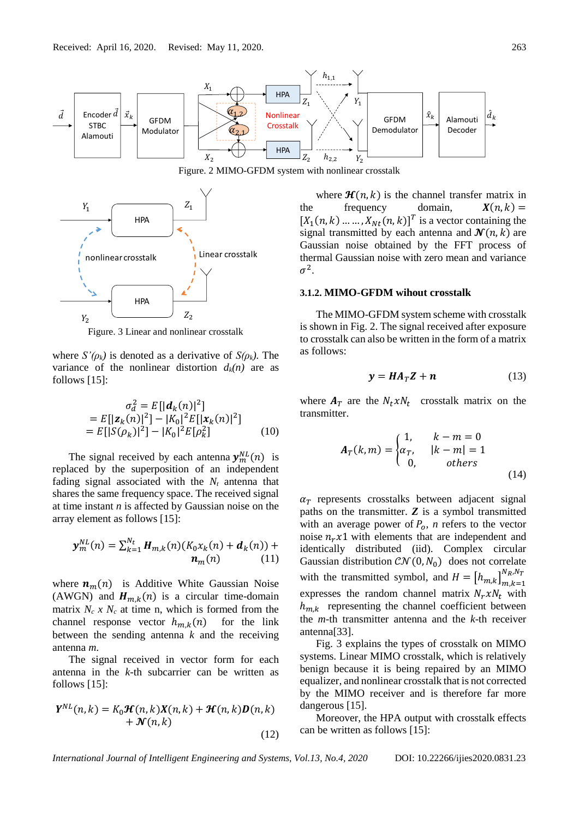

Figure. 2 MIMO-GFDM system with nonlinear crosstalk



Figure. 3 Linear and nonlinear crosstalk

where  $S'(\rho_k)$  is denoted as a derivative of  $S(\rho_k)$ . The variance of the nonlinear distortion  $d_k(n)$  are as follows [15]:

$$
\sigma_d^2 = E[|\boldsymbol{d}_k(n)|^2]
$$
  
=  $E[|\boldsymbol{z}_k(n)|^2] - |K_0|^2 E[|\boldsymbol{x}_k(n)|^2]$   
=  $E[|S(\rho_k)|^2] - |K_0|^2 E[\rho_k^2]$  (10)

The signal received by each antenna  $y_m^{NL}(n)$  is replaced by the superposition of an independent fading signal associated with the  $N_t$  antenna that shares the same frequency space. The received signal at time instant *n* is affected by Gaussian noise on the array element as follows [15]:

$$
\mathbf{y}_{m}^{NL}(n) = \sum_{k=1}^{N_t} \boldsymbol{H}_{m,k}(n) (K_0 x_k(n) + \boldsymbol{d}_k(n)) + \boldsymbol{n}_m(n) \qquad (11)
$$

where  $n_m(n)$  is Additive White Gaussian Noise (AWGN) and  $H_{m,k}(n)$  is a circular time-domain matrix  $N_c$  *x*  $N_c$  at time n, which is formed from the channel response vector  $h_{m,k}(n)$  for the link between the sending antenna *k* and the receiving antenna *m*.

The signal received in vector form for each antenna in the *k-*th subcarrier can be written as follows [15]:

$$
Y^{NL}(n,k) = K_0 \mathcal{H}(n,k) X(n,k) + \mathcal{H}(n,k) D(n,k)
$$
  
+  $\mathcal{N}(n,k)$  (12)

where  $\mathcal{H}(n, k)$  is the channel transfer matrix in the frequency domain,  $X(n, k) =$  $[X_1(n, k) \dots \dots, X_{Nt}(n, k)]^T$  is a vector containing the signal transmitted by each antenna and  $\mathcal{N}(n, k)$  are Gaussian noise obtained by the FFT process of thermal Gaussian noise with zero mean and variance  $\sigma^2$ .

## **3.1.2. MIMO-GFDM wihout crosstalk**

The MIMO-GFDM system scheme with crosstalk is shown in Fig. 2. The signal received after exposure to crosstalk can also be written in the form of a matrix as follows:

$$
y = HA_T Z + n \tag{13}
$$

where  $A_T$  are the  $N_t x N_t$  crosstalk matrix on the transmitter.

$$
\mathbf{A}_T(k,m) = \begin{cases} 1, & k-m=0\\ \alpha_T, & |k-m|=1\\ 0, & others \end{cases}
$$
(14)

 $\alpha_T$  represents crosstalks between adjacent signal paths on the transmitter. *Z* is a symbol transmitted with an average power of  $P_0$ , *n* refers to the vector noise  $n_r x1$  with elements that are independent and identically distributed (iid). Complex circular Gaussian distribution  $CN(0, N_0)$  does not correlate with the transmitted symbol, and  $H = [h_{m,k}]_{m,k=1}^{N_R,N_T}$ expresses the random channel matrix  $N_r x N_t$  with  $h_{m,k}$  representing the channel coefficient between the *m-*th transmitter antenna and the *k*-th receiver antenna[33].

Fig. 3 explains the types of crosstalk on MIMO systems. Linear MIMO crosstalk, which is relatively benign because it is being repaired by an MIMO equalizer, and nonlinear crosstalk that is not corrected by the MIMO receiver and is therefore far more dangerous [15].

Moreover, the HPA output with crosstalk effects can be written as follows [15]: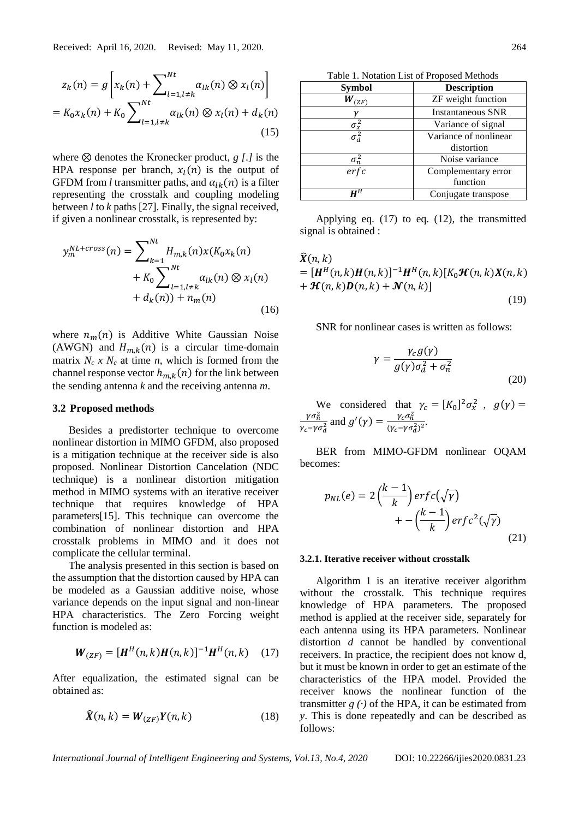$$
z_{k}(n) = g\left[x_{k}(n) + \sum_{l=1, l \neq k}^{Nt} \alpha_{lk}(n) \otimes x_{l}(n)\right]
$$
  
=  $K_{0}x_{k}(n) + K_{0} \sum_{l=1, l \neq k}^{Nt} \alpha_{lk}(n) \otimes x_{l}(n) + d_{k}(n)$  (15)

where ⊗ denotes the Kronecker product, *g [.]* is the HPA response per branch,  $x_1(n)$  is the output of GFDM from *l* transmitter paths, and  $\alpha_{lk}(n)$  is a filter representing the crosstalk and coupling modeling between *l* to *k* paths [27]. Finally, the signal received, if given a nonlinear crosstalk, is represented by:

$$
y_m^{NL+cross}(n) = \sum_{k=1}^{Nt} H_{m,k}(n)x(K_0x_k(n) + K_0 \sum_{l=1, l \neq k}^{Nt} \alpha_{lk}(n) \otimes x_l(n) + d_k(n)) + n_m(n)
$$
\n(16)

where  $n_m(n)$  is Additive White Gaussian Noise (AWGN) and  $H_{m,k}(n)$  is a circular time-domain matrix  $N_c$  *x*  $N_c$  at time *n*, which is formed from the channel response vector  $h_{m,k}(n)$  for the link between the sending antenna *k* and the receiving antenna *m*.

## **3.2 Proposed methods**

Besides a predistorter technique to overcome nonlinear distortion in MIMO GFDM, also proposed is a mitigation technique at the receiver side is also proposed. Nonlinear Distortion Cancelation (NDC technique) is a nonlinear distortion mitigation method in MIMO systems with an iterative receiver technique that requires knowledge of HPA parameters[15]. This technique can overcome the combination of nonlinear distortion and HPA crosstalk problems in MIMO and it does not complicate the cellular terminal.

The analysis presented in this section is based on the assumption that the distortion caused by HPA can be modeled as a Gaussian additive noise, whose variance depends on the input signal and non-linear HPA characteristics. The Zero Forcing weight function is modeled as:

$$
\mathbf{W}_{(ZF)} = [\mathbf{H}^H(n,k)\mathbf{H}(n,k)]^{-1}\mathbf{H}^H(n,k) \quad (17)
$$

After equalization, the estimated signal can be obtained as:

$$
\widehat{\mathbf{X}}(n,k) = \mathbf{W}_{\left(ZF\right)} \mathbf{Y}(n,k) \tag{18}
$$

Table 1. Notation List of Proposed Methods

| <b>Symbol</b>                   | <b>Description</b>       |  |
|---------------------------------|--------------------------|--|
| W<br>(ZF)                       | ZF weight function       |  |
|                                 | <b>Instantaneous SNR</b> |  |
|                                 | Variance of signal       |  |
| $\frac{\sigma_x^2}{\sigma_d^2}$ | Variance of nonlinear    |  |
|                                 | distortion               |  |
| $\sigma_n^2$                    | Noise variance           |  |
| erfc                            | Complementary error      |  |
|                                 | function                 |  |
| uН                              | Conjugate transpose      |  |

Applying eq. (17) to eq. (12), the transmitted signal is obtained :

$$
\widehat{X}(n,k) = [H^H(n,k)H(n,k)]^{-1}H^H(n,k)[K_0\mathcal{H}(n,k)X(n,k) + \mathcal{H}(n,k)D(n,k) + \mathcal{N}(n,k)]
$$
\n(19)

SNR for nonlinear cases is written as follows:

$$
\gamma = \frac{\gamma_c g(\gamma)}{g(\gamma)\sigma_d^2 + \sigma_n^2}
$$
\n(20)

We considered that  $\gamma_c = [K_0]^2 \sigma_x^2$ ,  $g(\gamma) =$  $\gamma \sigma_n^2$  $\frac{\gamma \sigma_n^2}{\gamma_c - \gamma \sigma_d^2}$  and  $g'(\gamma) = \frac{\gamma_c \sigma_n^2}{(\gamma_c - \gamma \sigma_n^2)}$  $\frac{r_c o_n}{(\gamma_c - \gamma \sigma_d^2)^2}$ .

BER from MIMO-GFDM nonlinear OQAM becomes:

$$
p_{NL}(e) = 2\left(\frac{k-1}{k}\right) erfc(\sqrt{\gamma}) + -\left(\frac{k-1}{k}\right) erfc^2(\sqrt{\gamma})
$$
\n(21)

#### **3.2.1. Iterative receiver without crosstalk**

Algorithm 1 is an iterative receiver algorithm without the crosstalk. This technique requires knowledge of HPA parameters. The proposed method is applied at the receiver side, separately for each antenna using its HPA parameters. Nonlinear distortion *d* cannot be handled by conventional receivers. In practice, the recipient does not know d, but it must be known in order to get an estimate of the characteristics of the HPA model. Provided the receiver knows the nonlinear function of the transmitter  $g(\cdot)$  of the HPA, it can be estimated from *y*. This is done repeatedly and can be described as follows: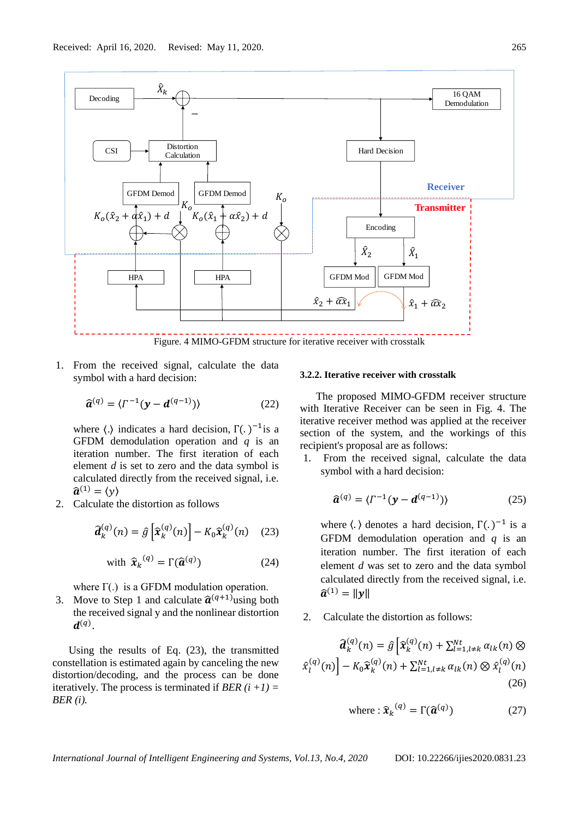

1. From the received signal, calculate the data symbol with a hard decision:

$$
\widehat{\boldsymbol{a}}^{(q)} = \langle \Gamma^{-1} (\mathbf{y} - \boldsymbol{d}^{(q-1)}) \rangle \tag{22}
$$

where  $\langle . \rangle$  indicates a hard decision,  $\Gamma(.)^{-1}$  is a GFDM demodulation operation and *q* is an iteration number. The first iteration of each element *d* is set to zero and the data symbol is calculated directly from the received signal, i.e.  $\widehat{\boldsymbol{a}}^{(1)} = \langle y \rangle$ 

2. Calculate the distortion as follows

$$
\widehat{\boldsymbol{d}}_k^{(q)}(n) = \widehat{g}\left[\widehat{\boldsymbol{x}}_k^{(q)}(n)\right] - K_0 \widehat{\boldsymbol{x}}_k^{(q)}(n) \quad (23)
$$

with 
$$
\hat{\boldsymbol{x}}_k^{(q)} = \Gamma(\hat{\boldsymbol{a}}^{(q)})
$$
 (24)

where  $\Gamma(.)$  is a GFDM modulation operation.

3. Move to Step 1 and calculate  $\hat{a}^{(q+1)}$ using both the received signal y and the nonlinear distortion  $\boldsymbol{d}^{(q)}$ .

Using the results of Eq. (23), the transmitted constellation is estimated again by canceling the new distortion/decoding, and the process can be done iteratively. The process is terminated if *BER*  $(i + 1) =$ *BER (i).* 

#### **3.2.2. Iterative receiver with crosstalk**

The proposed MIMO-GFDM receiver structure with Iterative Receiver can be seen in Fig. 4. The iterative receiver method was applied at the receiver section of the system, and the workings of this recipient's proposal are as follows:

1. From the received signal, calculate the data symbol with a hard decision:

$$
\widehat{\boldsymbol{a}}^{(q)} = \langle \Gamma^{-1} (\mathbf{y} - \boldsymbol{d}^{(q-1)}) \rangle \tag{25}
$$

where  $\langle \cdot \rangle$  denotes a hard decision,  $\Gamma(\cdot)^{-1}$  is a GFDM demodulation operation and *q* is an iteration number. The first iteration of each element *d* was set to zero and the data symbol calculated directly from the received signal, i.e.  $\hat{a}^{(1)} = ||y||$ 

2. Calculate the distortion as follows:

$$
\widehat{\boldsymbol{d}}_k^{(q)}(n) = \widehat{g} \left[ \widehat{\boldsymbol{x}}_k^{(q)}(n) + \sum_{l=1, l \neq k}^{Nt} \alpha_{lk}(n) \otimes \widehat{\boldsymbol{x}}_l^{(q)}(n) \right] - K_0 \widehat{\boldsymbol{x}}_k^{(q)}(n) + \sum_{l=1, l \neq k}^{Nt} \alpha_{lk}(n) \otimes \widehat{\boldsymbol{x}}_l^{(q)}(n)
$$
\n(26)

where: 
$$
\hat{\mathbf{x}}_k^{(q)} = \Gamma(\hat{\mathbf{a}}^{(q)})
$$
 (27)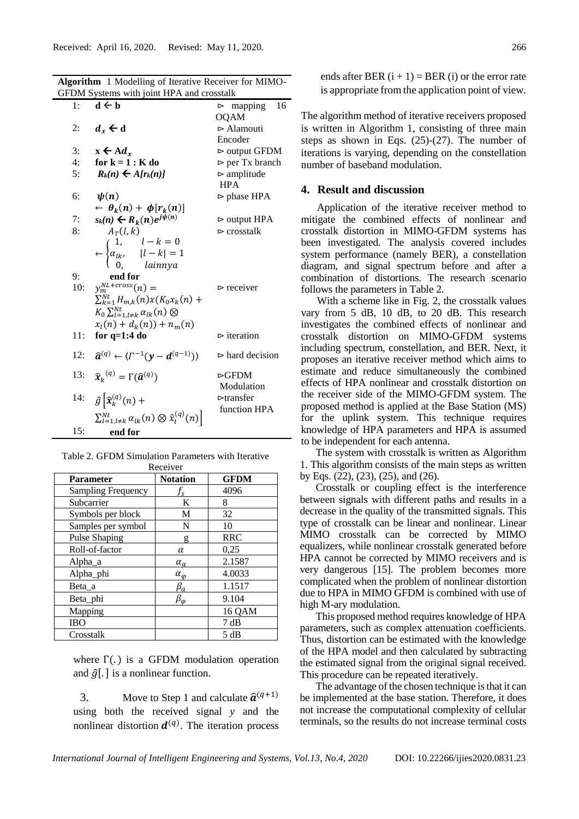**Algorithm** 1 Modelling of Iterative Receiver for MIMO-

| GFDM Systems with joint HPA and crosstalk |                                                                                              |                                |  |  |
|-------------------------------------------|----------------------------------------------------------------------------------------------|--------------------------------|--|--|
| 1:                                        | $d \leftarrow b$                                                                             | 16<br>$>$ mapping              |  |  |
|                                           |                                                                                              | <b>OQAM</b>                    |  |  |
| 2:                                        | $d_{r} \leftarrow d$                                                                         | $\triangleright$ Alamouti      |  |  |
|                                           |                                                                                              | Encoder                        |  |  |
| 3:                                        | $x \leftarrow A d_r$                                                                         | $\triangleright$ output GFDM   |  |  |
| 4:                                        | for $k = 1 : K$ do                                                                           | $\rhd$ per Tx branch           |  |  |
| 5:                                        | $R_k(n) \leftarrow A[r_k(n)]$                                                                | $\rhd$ amplitude               |  |  |
|                                           |                                                                                              | <b>HPA</b>                     |  |  |
| 6:                                        | $\psi(n)$                                                                                    | $\triangleright$ phase HPA     |  |  |
|                                           | $\leftarrow \theta_k(n) + \phi[r_k(n)]$                                                      |                                |  |  |
| 7:                                        | $s_k(n) \leftarrow R_k(n)e^{j\psi(n)}$                                                       | $\triangleright$ output HPA    |  |  |
| 8:                                        | $A_T(l,k)$                                                                                   | $\triangleright$ crosstalk     |  |  |
|                                           | $\leftarrow \begin{cases} 1, & l-k=0 \\ \alpha_{lk}, &  l-k =1 \\ 0, & lainnya \end{cases}$  |                                |  |  |
|                                           |                                                                                              |                                |  |  |
|                                           |                                                                                              |                                |  |  |
| 9:                                        | end for                                                                                      |                                |  |  |
| 10:                                       | $y_m^{NL+cross}(n) =$                                                                        | $\triangleright$ receiver      |  |  |
|                                           | $\sum_{k=1}^{Nt} H_{m,k}(n) x(K_0 x_k(n) +$                                                  |                                |  |  |
|                                           | $K_0 \sum_{l=1,l\neq k}^{Nt} \alpha_{lk}(n) \otimes$                                         |                                |  |  |
|                                           | $x_1(n) + d_k(n) + n_m(n)$                                                                   |                                |  |  |
| 11:                                       | for $q=1:4$ do                                                                               | $\triangleright$ iteration     |  |  |
|                                           |                                                                                              |                                |  |  |
|                                           | 12: $\hat{a}^{(q)} \leftarrow \langle \Gamma^{-1} (\mathbf{y} - \mathbf{d}^{(q-1)}) \rangle$ | $\triangleright$ hard decision |  |  |
| 13:                                       | $\widehat{\boldsymbol{x}}_k^{(q)} = \Gamma(\widehat{\boldsymbol{a}}^{(q)})$                  | $\triangleright$ GFDM          |  |  |
|                                           |                                                                                              | Modulation                     |  |  |
| 14:                                       | $\hat{g} \left[ \widehat{x}_{k}^{(q)}(n) + \right]$                                          | $\triangleright$ transfer      |  |  |
|                                           |                                                                                              | function HPA                   |  |  |
|                                           | $\sum_{l=1,l\neq k}^{Nt} \alpha_{lk}(n) \otimes \hat{x}_l^{(q)}(n)$                          |                                |  |  |
| 15:                                       | end for                                                                                      |                                |  |  |

Table 2. GFDM Simulation Parameters with Iterative

| Receiver                  |                           |             |  |  |  |
|---------------------------|---------------------------|-------------|--|--|--|
| <b>Parameter</b>          | <b>Notation</b>           | <b>GFDM</b> |  |  |  |
| <b>Sampling Frequency</b> | $\mathbf{r}_{\mathbf{s}}$ | 4096        |  |  |  |
| Subcarrier                | K                         | 8           |  |  |  |
| Symbols per block         | M                         | 32          |  |  |  |
| Samples per symbol        | N                         | 10          |  |  |  |
| <b>Pulse Shaping</b>      | g                         | <b>RRC</b>  |  |  |  |
| Roll-of-factor            | α                         | 0,25        |  |  |  |
| Alpha_a                   | $\alpha_a$                | 2.1587      |  |  |  |
| Alpha_phi                 | $\alpha_{\varphi}$        | 4.0033      |  |  |  |
| Beta_a                    | $\beta_a$                 | 1.1517      |  |  |  |
| Beta_phi                  | $\beta_\varphi$           | 9.104       |  |  |  |
| Mapping                   |                           | 16 QAM      |  |  |  |
| <b>IBO</b>                |                           | 7 dB        |  |  |  |
| Crosstalk                 |                           | 5 dB        |  |  |  |

where  $\Gamma(.)$  is a GFDM modulation operation and  $\hat{g}[.]$  is a nonlinear function.

3. Move to Step 1 and calculate  $\hat{a}^{(q+1)}$ using both the received signal *y* and the nonlinear distortion  $d^{(q)}$ . The iteration process ends after BER  $(i + 1) = BER(i)$  or the error rate is appropriate from the application point of view.

The algorithm method of iterative receivers proposed is written in Algorithm 1, consisting of three main steps as shown in Eqs. (25)-(27). The number of iterations is varying, depending on the constellation number of baseband modulation.

# **4. Result and discussion**

Application of the iterative receiver method to mitigate the combined effects of nonlinear and crosstalk distortion in MIMO-GFDM systems has been investigated. The analysis covered includes system performance (namely BER), a constellation diagram, and signal spectrum before and after a combination of distortions. The research scenario follows the parameters in Table 2.

With a scheme like in Fig. 2, the crosstalk values vary from 5 dB, 10 dB, to 20 dB. This research investigates the combined effects of nonlinear and crosstalk distortion on MIMO-GFDM systems including spectrum, constellation, and BER. Next, it proposes an iterative receiver method which aims to estimate and reduce simultaneously the combined effects of HPA nonlinear and crosstalk distortion on the receiver side of the MIMO-GFDM system. The proposed method is applied at the Base Station (MS) for the uplink system. This technique requires knowledge of HPA parameters and HPA is assumed to be independent for each antenna.

The system with crosstalk is written as Algorithm 1. This algorithm consists of the main steps as written by Eqs. (22), (23), (25), and (26).

Crosstalk or coupling effect is the interference between signals with different paths and results in a decrease in the quality of the transmitted signals. This type of crosstalk can be linear and nonlinear. Linear MIMO crosstalk can be corrected by MIMO equalizers, while nonlinear crosstalk generated before HPA cannot be corrected by MIMO receivers and is very dangerous [15]. The problem becomes more complicated when the problem of nonlinear distortion due to HPA in MIMO GFDM is combined with use of high M-ary modulation.

This proposed method requires knowledge of HPA parameters, such as complex attenuation coefficients. Thus, distortion can be estimated with the knowledge of the HPA model and then calculated by subtracting the estimated signal from the original signal received. This procedure can be repeated iteratively.

The advantage of the chosen technique is that it can be implemented at the base station. Therefore, it does not increase the computational complexity of cellular terminals, so the results do not increase terminal costs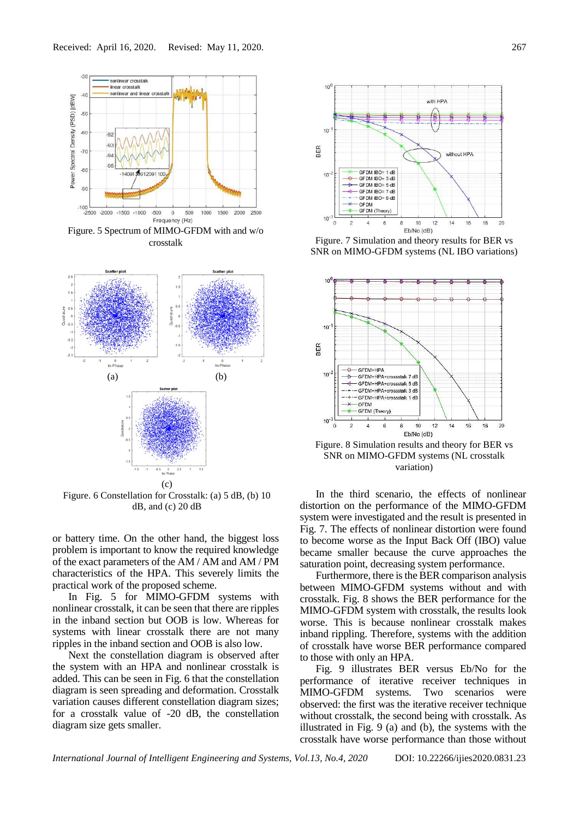

crosstalk



Figure. 6 Constellation for Crosstalk: (a) 5 dB, (b) 10 dB, and (c) 20 dB

or battery time. On the other hand, the biggest loss problem is important to know the required knowledge of the exact parameters of the AM / AM and AM / PM characteristics of the HPA. This severely limits the practical work of the proposed scheme.

In Fig. 5 for MIMO-GFDM systems with nonlinear crosstalk, it can be seen that there are ripples in the inband section but OOB is low. Whereas for systems with linear crosstalk there are not many ripples in the inband section and OOB is also low.

Next the constellation diagram is observed after the system with an HPA and nonlinear crosstalk is added. This can be seen in Fig. 6 that the constellation diagram is seen spreading and deformation. Crosstalk variation causes different constellation diagram sizes; for a crosstalk value of -20 dB, the constellation diagram size gets smaller.



Figure. 7 Simulation and theory results for BER vs SNR on MIMO-GFDM systems (NL IBO variations)



Figure. 8 Simulation results and theory for BER vs SNR on MIMO-GFDM systems (NL crosstalk variation)

In the third scenario, the effects of nonlinear distortion on the performance of the MIMO-GFDM system were investigated and the result is presented in Fig. 7. The effects of nonlinear distortion were found to become worse as the Input Back Off (IBO) value became smaller because the curve approaches the saturation point, decreasing system performance.

Furthermore, there is the BER comparison analysis between MIMO-GFDM systems without and with crosstalk. Fig. 8 shows the BER performance for the MIMO-GFDM system with crosstalk, the results look worse. This is because nonlinear crosstalk makes inband rippling. Therefore, systems with the addition of crosstalk have worse BER performance compared to those with only an HPA.

Fig. 9 illustrates BER versus Eb/No for the performance of iterative receiver techniques in MIMO-GFDM systems. Two scenarios were observed: the first was the iterative receiver technique without crosstalk, the second being with crosstalk. As illustrated in Fig. 9 (a) and (b), the systems with the crosstalk have worse performance than those without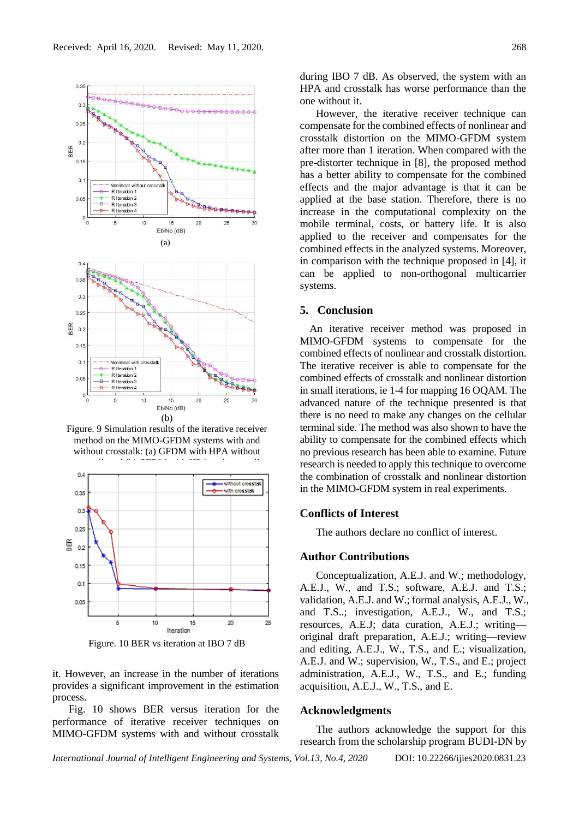

Figure. 9 Simulation results of the iterative receiver method on the MIMO-GFDM systems with and without crosstalk: (a) GFDM with HPA without

crosstalk and (b) GFDM with HPA and crosstalk and crosstalk and crosstalk and crosstalk and crosstalk and cros<br>Crosstalk and crosstalk and crosstalk and crosstalk and crosstalk and crosstalk and crosstalk and crosstalk an





it. However, an increase in the number of iterations provides a significant improvement in the estimation process.

Fig. 10 shows BER versus iteration for the performance of iterative receiver techniques on MIMO-GFDM systems with and without crosstalk

during IBO 7 dB. As observed, the system with an HPA and crosstalk has worse performance than the one without it.

However, the iterative receiver technique can compensate for the combined effects of nonlinear and crosstalk distortion on the MIMO-GFDM system after more than 1 iteration. When compared with the pre-distorter technique in [8], the proposed method has a better ability to compensate for the combined effects and the major advantage is that it can be applied at the base station. Therefore, there is no increase in the computational complexity on the mobile terminal, costs, or battery life. It is also applied to the receiver and compensates for the combined effects in the analyzed systems. Moreover, in comparison with the technique proposed in [4], it can be applied to non-orthogonal multicarrier systems.

## **5. Conclusion**

An iterative receiver method was proposed in MIMO-GFDM systems to compensate for the combined effects of nonlinear and crosstalk distortion. The iterative receiver is able to compensate for the combined effects of crosstalk and nonlinear distortion in small iterations, ie 1-4 for mapping 16 OQAM. The advanced nature of the technique presented is that there is no need to make any changes on the cellular terminal side. The method was also shown to have the ability to compensate for the combined effects which no previous research has been able to examine. Future research is needed to apply this technique to overcome the combination of crosstalk and nonlinear distortion in the MIMO-GFDM system in real experiments.

# **Conflicts of Interest**

The authors declare no conflict of interest.

### **Author Contributions**

Conceptualization, A.E.J. and W.; methodology, A.E.J., W., and T.S.; software, A.E.J. and T.S.; validation, A.E.J. and W.; formal analysis, A.E.J., W., and T.S..; investigation, A.E.J., W., and T.S.; resources, A.E.J; data curation, A.E.J.; writing original draft preparation, A.E.J.; writing—review and editing, A.E.J., W., T.S., and E.; visualization, A.E.J. and W.; supervision, W., T.S., and E.; project administration, A.E.J., W., T.S., and E.; funding acquisition, A.E.J., W., T.S., and E.

### **Acknowledgments**

The authors acknowledge the support for this research from the scholarship program BUDI-DN by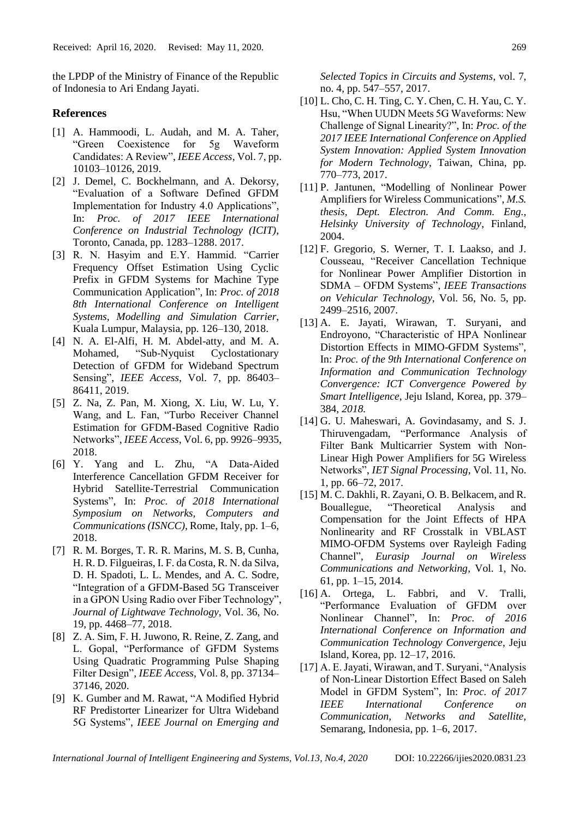the LPDP of the Ministry of Finance of the Republic of Indonesia to Ari Endang Jayati.

## **References**

- [1] A. Hammoodi, L. Audah, and M. A. Taher, "Green Coexistence for 5g Waveform Candidates: A Review", *IEEE Access*, Vol. 7, pp. 10103–10126, 2019.
- [2] J. Demel, C. Bockhelmann, and A. Dekorsy, "Evaluation of a Software Defined GFDM Implementation for Industry 4.0 Applications", In: *Proc. of 2017 IEEE International Conference on Industrial Technology (ICIT)*, Toronto, Canada, pp. 1283–1288. 2017.
- [3] R. N. Hasyim and E.Y. Hammid. "Carrier Frequency Offset Estimation Using Cyclic Prefix in GFDM Systems for Machine Type Communication Application", In: *Proc. of 2018 8th International Conference on Intelligent Systems, Modelling and Simulation Carrier*, Kuala Lumpur, Malaysia, pp. 126–130, 2018.
- [4] N. A. El-Alfi, H. M. Abdel-atty, and M. A. Mohamed, "Sub-Nyquist Cyclostationary Detection of GFDM for Wideband Spectrum Sensing", *IEEE Access*, Vol. 7, pp. 86403– 86411, 2019.
- [5] Z. Na, Z. Pan, M. Xiong, X. Liu, W. Lu, Y. Wang, and L. Fan, "Turbo Receiver Channel Estimation for GFDM-Based Cognitive Radio Networks", *IEEE Access*, Vol. 6, pp. 9926–9935, 2018.
- [6] Y. Yang and L. Zhu, "A Data-Aided Interference Cancellation GFDM Receiver for Hybrid Satellite-Terrestrial Communication Systems", In: *Proc. of 2018 International Symposium on Networks, Computers and Communications (ISNCC)*, Rome, Italy, pp. 1–6, 2018.
- [7] R. M. Borges, T. R. R. Marins, M. S. B, Cunha, H. R. D. Filgueiras, I. F. da Costa, R. N. da Silva, D. H. Spadoti, L. L. Mendes, and A. C. Sodre, "Integration of a GFDM-Based 5G Transceiver in a GPON Using Radio over Fiber Technology", *Journal of Lightwave Technology*, Vol. 36, No. 19, pp. 4468–77, 2018.
- [8] Z. A. Sim, F. H. Juwono, R. Reine, Z. Zang, and L. Gopal, "Performance of GFDM Systems Using Quadratic Programming Pulse Shaping Filter Design", *IEEE Access*, Vol. 8, pp. 37134– 37146, 2020.
- [9] K. Gumber and M. Rawat, "A Modified Hybrid RF Predistorter Linearizer for Ultra Wideband 5G Systems", *IEEE Journal on Emerging and*

*Selected Topics in Circuits and Systems*, vol. 7, no. 4, pp. 547–557, 2017.

- [10] L. Cho, C. H. Ting, C. Y. Chen, C. H. Yau, C. Y. Hsu, "When UUDN Meets 5G Waveforms: New Challenge of Signal Linearity?", In: *Proc. of the 2017 IEEE International Conference on Applied System Innovation: Applied System Innovation for Modern Technology*, Taiwan, China, pp. 770–773, 2017.
- [11] P. Jantunen, "Modelling of Nonlinear Power Amplifiers for Wireless Communications", *M.S. thesis, Dept. Electron. And Comm. Eng., Helsinky University of Technology*, Finland, 2004.
- [12] F. Gregorio, S. Werner, T. I. Laakso, and J. Cousseau, "Receiver Cancellation Technique for Nonlinear Power Amplifier Distortion in SDMA – OFDM Systems", *IEEE Transactions on Vehicular Technology*, Vol. 56, No. 5, pp. 2499–2516, 2007.
- [13] A. E. Jayati, Wirawan, T. Suryani, and Endroyono, "Characteristic of HPA Nonlinear Distortion Effects in MIMO-GFDM Systems", In: *Proc. of the 9th International Conference on Information and Communication Technology Convergence: ICT Convergence Powered by Smart Intelligence,* Jeju Island, Korea*,* pp. 379– 384, *2018.*
- [14] G. U. Maheswari, A. Govindasamy, and S. J. Thiruvengadam, "Performance Analysis of Filter Bank Multicarrier System with Non-Linear High Power Amplifiers for 5G Wireless Networks", *IET Signal Processing*, Vol. 11, No. 1, pp. 66–72, 2017.
- [15] M. C. Dakhli, R. Zayani, O. B. Belkacem, and R. Bouallegue, "Theoretical Analysis and Compensation for the Joint Effects of HPA Nonlinearity and RF Crosstalk in VBLAST MIMO-OFDM Systems over Rayleigh Fading Channel", *Eurasip Journal on Wireless Communications and Networking*, Vol. 1, No. 61, pp. 1–15, 2014.
- [16] A. Ortega, L. Fabbri, and V. Tralli, "Performance Evaluation of GFDM over Nonlinear Channel", In: *Proc. of 2016 International Conference on Information and Communication Technology Convergence*, Jeju Island, Korea, pp. 12–17, 2016.
- [17] A. E. Jayati, Wirawan, and T. Suryani, "Analysis of Non-Linear Distortion Effect Based on Saleh Model in GFDM System", In: *Proc. of 2017 IEEE International Conference on Communication, Networks and Satellite,*  Semarang, Indonesia*,* pp. 1–6, 2017.